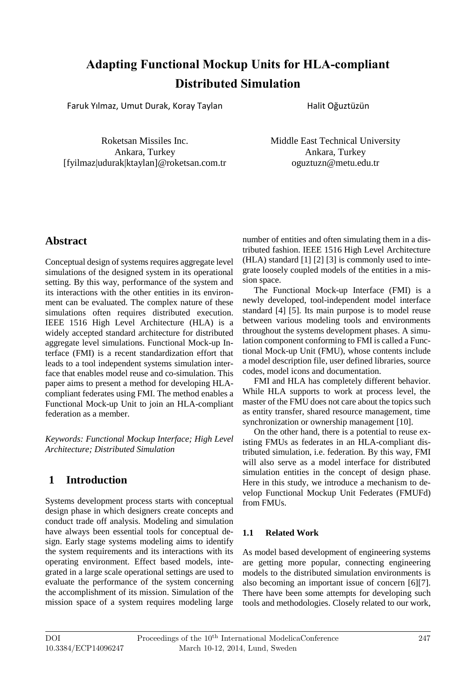# **Adapting Functional Mockup Unit s for HLA -compliant Distributed Simulation**

Faruk Yılmaz , Umut Durak , Koray Taylan

Halit Oğuztüzün

Roketsan Missiles Inc. Ankara, Turkey [fyilmaz|udurak|ktaylan]@roketsan.com.tr Middle East Technical University Ankara, Turkey oguztuzn@metu.edu.tr

# **Abstract**

Conceptual design of systems requires aggregate level simulations of the designed system in its operational setting. By this way, performance of the system and its interactions with the other entities in its environment can be evaluated. The complex nature of these simulations often requires distributed execution. IEEE 1516 High Level Architecture (HLA) is a widely accepted standard architecture for distributed aggregate level simulations. Functional Mock -up Interface (FMI) is a recent standardization effort that leads to a tool independent systems simulation interface that enables model reuse and co-simulation. This paper aims to present a method for developing HLA compliant federates using FM I . The method enables a Functional Mock -up Unit to join an HLA -compliant federation as a member.

*Keywords: Functional Mockup Interface; High Level Architecture; Distributed Simulation*

# **1 Introduction**

Systems development process starts with conceptual design phase in which designers create concepts and conduct trade off analysis. Modeling and simulation have always been essential tool s for conceptual design. Early stage systems modeling aims to identify the system requirements and its interactions with its operating environment. Effect based models , integrated in a large scale operational settings are used to evaluate the performance of the system concerning the accomplishment of its mission. Simulation of the mission space of a system requires modeling large

number of entities and often simulating them in a distributed fashion. IEEE 1516 High Level Architecture (HLA) standard [1] [2] [3] i s commonly used to integrate loosely coupled models of the entities in a mission space.

The Functional Mock -up Interface (FMI) is a newly developed , tool -independent model interface standard [4] [5]. Its main purpose is to model reuse between various modeling tools and environments throughout the systems development phases . A simulation component conforming to FMI is called a Functional Mock-up Unit (FMU), whose contents include a model description file , user defined libraries, source codes, model icons and documentation.

FMI and HLA has completely different behavior. While HLA supports to work at process level, the master of the FMU does not care about the topics such as entity transfer, shared resource management, time synchronization or ownership management [10] .

On the other hand, there is a potential to reuse existing FMUs as federates in an HLA-compliant distributed simulation, i.e. federation. By this way, FMI will also serve as a model interface for distributed simulation entities in the concept of design phase. Here in this study, we introduce a mechanism to develop Functional Mockup Unit Federates (FMUFd) from FMUs.

### **1.1 Related Work**

As model based development of engineering systems are getting more popular, connecting engineering model s to the distributed simulation environments is also becoming an important issue of concern [6][7]. There have been some attempts for developing such tools and methodologies. Closely related to our work ,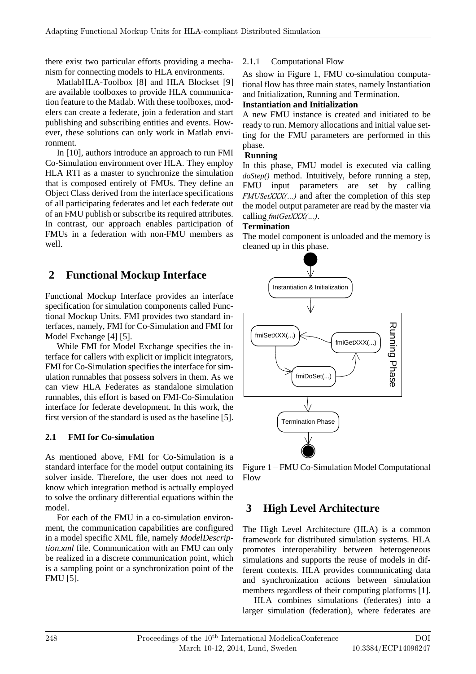there exist two particular efforts providing a mechanism for connecting models to HLA environments.

MatlabHLA-Toolbox [8] and HLA Blockset [9] are available toolboxes to provide HLA communication feature to the Matlab. With these toolboxes, modelers can create a federate, join a federation and start publishing and subscribing entities and events. However, these solutions can only work in Matlab environment.

In [10], authors introduce an approach to run FMI Co-Simulation environment over HLA. They employ HLA RTI as a master to synchronize the simulation that is composed entirely of FMUs. They define an Object Class derived from the interface specifications of all participating federates and let each federate out of an FMU publish or subscribe its required attributes. In contrast, our approach enables participation of FMUs in a federation with non-FMU members as well.

# **2 Functional Mockup Interface**

Functional Mockup Interface provides an interface specification for simulation components called Functional Mockup Units. FMI provides two standard interfaces, namely, FMI for Co-Simulation and FMI for Model Exchange [4] [5].

While FMI for Model Exchange specifies the interface for callers with explicit or implicit integrators, FMI for Co-Simulation specifies the interface for simulation runnables that possess solvers in them. As we can view HLA Federates as standalone simulation runnables, this effort is based on FMI-Co-Simulation interface for federate development. In this work, the first version of the standard is used as the baseline [5].

#### **2.1 FMI for Co-simulation**

As mentioned above, FMI for Co-Simulation is a standard interface for the model output containing its solver inside. Therefore, the user does not need to know which integration method is actually employed to solve the ordinary differential equations within the model.

For each of the FMU in a co-simulation environment, the communication capabilities are configured in a model specific XML file, namely *ModelDescription.xml* file. Communication with an FMU can only be realized in a discrete communication point, which is a sampling point or a synchronization point of the FMU [5].

#### 2.1.1 Computational Flow

As show in Figure 1, FMU co-simulation computational flow has three main states, namely Instantiation and Initialization, Running and Termination.

#### **Instantiation and Initialization**

A new FMU instance is created and initiated to be ready to run. Memory allocations and initial value setting for the FMU parameters are performed in this phase.

#### **Running**

In this phase, FMU model is executed via calling *doStep()* method. Intuitively, before running a step, FMU input parameters are set by calling *FMUSetXXX(…)* and after the completion of this step the model output parameter are read by the master via calling *fmiGetXXX(…)*.

#### **Termination**

The model component is unloaded and the memory is cleaned up in this phase.



Figure 1 – FMU Co-Simulation Model Computational Flow

# **3 High Level Architecture**

The High Level Architecture (HLA) is a common framework for distributed simulation systems. HLA promotes interoperability between heterogeneous simulations and supports the reuse of models in different contexts. HLA provides communicating data and synchronization actions between simulation members regardless of their computing platforms [1].

HLA combines simulations (federates) into a larger simulation (federation), where federates are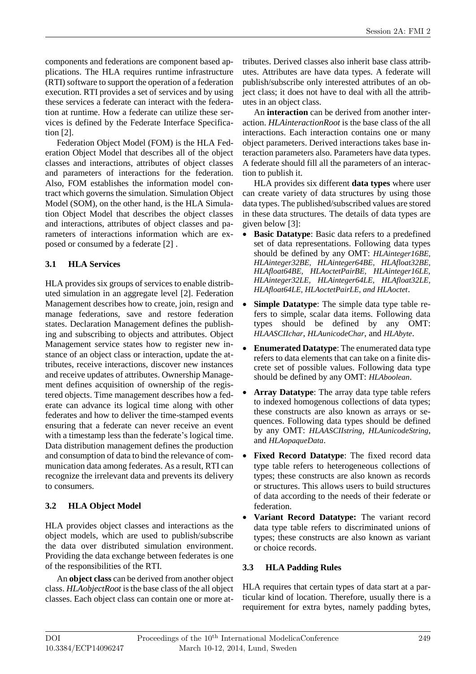components and federations are component based applications. The HLA requires runtime infrastructure (RTI) software to support the operation of a federation execution. RTI provides a set of services and by using these services a federate can interact with the federation at runtime. How a federate can utilize these services is defined by the Federate Interface Specification [2].

Federation Object Model (FOM) is the HLA Federation Object Model that describes all of the object classes and interactions, attributes of object classes and parameters of interactions for the federation. Also, FOM establishes the information model contract which governs the simulation. Simulation Object Model (SOM), on the other hand, is the HLA Simulation Object Model that describes the object classes and interactions, attributes of object classes and parameters of interactions information which are exposed or consumed by a federate [2] .

### **3.1 HLA Services**

HLA provides six groups of services to enable distributed simulation in an aggregate level [2]. Federation Management describes how to create, join, resign and manage federations, save and restore federation states. Declaration Management defines the publishing and subscribing to objects and attributes. Object Management service states how to register new instance of an object class or interaction, update the attributes, receive interactions, discover new instances and receive updates of attributes. Ownership Management defines acquisition of ownership of the registered objects. Time management describes how a federate can advance its logical time along with other federates and how to deliver the time-stamped events ensuring that a federate can never receive an event with a timestamp less than the federate's logical time. Data distribution management defines the production and consumption of data to bind the relevance of communication data among federates. As a result, RTI can recognize the irrelevant data and prevents its delivery to consumers.

### **3.2 HLA Object Model**

HLA provides object classes and interactions as the object models, which are used to publish/subscribe the data over distributed simulation environment. Providing the data exchange between federates is one of the responsibilities of the RTI.

An **object class** can be derived from another object class. *HLAobjectRoot* is the base class of the all object classes. Each object class can contain one or more at-

tributes. Derived classes also inherit base class attributes. Attributes are have data types. A federate will publish/subscribe only interested attributes of an object class; it does not have to deal with all the attributes in an object class.

An **interaction** can be derived from another interaction. *HLAinteractionRoot* is the base class of the all interactions. Each interaction contains one or many object parameters. Derived interactions takes base interaction parameters also. Parameters have data types. A federate should fill all the parameters of an interaction to publish it.

HLA provides six different **data types** where user can create variety of data structures by using those data types. The published/subscribed values are stored in these data structures. The details of data types are given below [3]:

- **Basic Datatype**: Basic data refers to a predefined set of data representations. Following data types should be defined by any OMT: *HLAinteger16BE, HLAinteger32BE, HLAinteger64BE, HLAfloat32BE, HLAfloat64BE, HLAoctetPairBE, HLAinteger16LE, HLAinteger32LE, HLAinteger64LE, HLAfloat32LE, HLAfloat64LE, HLAoctetPairLE, and HLAoctet*.
- **Simple Datatype**: The simple data type table refers to simple, scalar data items. Following data types should be defined by any OMT: *HLAASCIIchar*, *HLAunicodeChar*, and *HLAbyte*.
- **Enumerated Datatype**: The enumerated data type refers to data elements that can take on a finite discrete set of possible values. Following data type should be defined by any OMT: *HLAboolean*.
- **Array Datatype**: The array data type table refers to indexed homogenous collections of data types; these constructs are also known as arrays or sequences. Following data types should be defined by any OMT: *HLAASCIIstring*, *HLAunicodeString*, and *HLAopaqueData*.
- **Fixed Record Datatype**: The fixed record data type table refers to heterogeneous collections of types; these constructs are also known as records or structures. This allows users to build structures of data according to the needs of their federate or federation.
- **Variant Record Datatype:** The variant record data type table refers to discriminated unions of types; these constructs are also known as variant or choice records.

#### **3.3 HLA Padding Rules**

HLA requires that certain types of data start at a particular kind of location. Therefore, usually there is a requirement for extra bytes, namely padding bytes,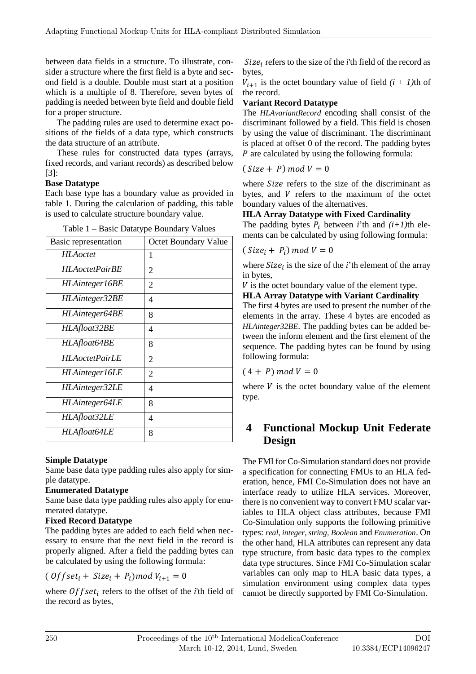between data fields in a structure. To illustrate, consider a structure where the first field is a byte and second field is a double. Double must start at a position which is a multiple of 8. Therefore, seven bytes of padding is needed between byte field and double field for a proper structure.

The padding rules are used to determine exact positions of the fields of a data type, which constructs the data structure of an attribute.

These rules for constructed data types (arrays, fixed records, and variant records) as described below [3]:

#### **Base Datatype**

Each base type has a boundary value as provided in table 1. During the calculation of padding, this table is used to calculate structure boundary value.

| raoic r Dasic Datarype Doundary values |                             |
|----------------------------------------|-----------------------------|
| Basic representation                   | <b>Octet Boundary Value</b> |
| HLAoctet                               | 1                           |
| <i>HLAoctetPairBE</i>                  | 2                           |
| HLAinteger16BE                         | $\overline{2}$              |
| HLAinteger32BE                         | 4                           |
| HLAinteger64BE                         | 8                           |
| HLAfloat32BE                           | 4                           |
| HLAfloat64BE                           | 8                           |
| <b>HLA</b> octetPairLE                 | 2                           |
| HLAinteger16LE                         | 2                           |
| HLAinteger32LE                         | 4                           |
| HLAinteger64LE                         | 8                           |
| HLAfloat32LE                           | 4                           |
| HLAfloat64LE                           | 8                           |

Table 1 – Basic Datatype Boundary Values

#### **Simple Datatype**

Same base data type padding rules also apply for simple datatype.

#### **Enumerated Datatype**

Same base data type padding rules also apply for enumerated datatype.

#### **Fixed Record Datatype**

The padding bytes are added to each field when necessary to ensure that the next field in the record is properly aligned. After a field the padding bytes can be calculated by using the following formula:

### $($  Offset<sub>i</sub> + Size<sub>i</sub> + P<sub>i</sub> $)$ mod V<sub>i+1</sub> = 0

where *Offset<sub>i</sub>* refers to the offset of the *i*'th field of the record as bytes,

 $Size<sub>i</sub>$  refers to the size of the *i*'th field of the record as bytes,

 $V_{i+1}$  is the octet boundary value of field  $(i + 1)$ th of the record.

### **Variant Record Datatype**

The *HLAvariantRecord* encoding shall consist of the discriminant followed by a field. This field is chosen by using the value of discriminant. The discriminant is placed at offset 0 of the record. The padding bytes  $P$  are calculated by using the following formula:

$$
(Size + P) mod V = 0
$$

where Size refers to the size of the discriminant as bytes, and  $V$  refers to the maximum of the octet boundary values of the alternatives.

### **HLA Array Datatype with Fixed Cardinality**

The padding bytes  $\overline{P_i}$  between *i*'th and  $(i+1)$ th elements can be calculated by using following formula:

$$
(Size_i + P_i) \, mod \, V = 0
$$

where  $Size_i$  is the size of the *i*'th element of the array in bytes,

 $V$  is the octet boundary value of the element type.

### **HLA Array Datatype with Variant Cardinality**

The first 4 bytes are used to present the number of the elements in the array. These 4 bytes are encoded as *HLAinteger32BE*. The padding bytes can be added between the inform element and the first element of the sequence. The padding bytes can be found by using following formula:

$$
(4+P) mod V = 0
$$

where  $V$  is the octet boundary value of the element type.

# **4 Functional Mockup Unit Federate Design**

The FMI for Co-Simulation standard does not provide a specification for connecting FMUs to an HLA federation, hence, FMI Co-Simulation does not have an interface ready to utilize HLA services. Moreover, there is no convenient way to convert FMU scalar variables to HLA object class attributes, because FMI Co-Simulation only supports the following primitive types: *real*, *integer*, *string, Boolean* and *Enumeration*. On the other hand, HLA attributes can represent any data type structure, from basic data types to the complex data type structures. Since FMI Co-Simulation scalar variables can only map to HLA basic data types, a simulation environment using complex data types cannot be directly supported by FMI Co-Simulation.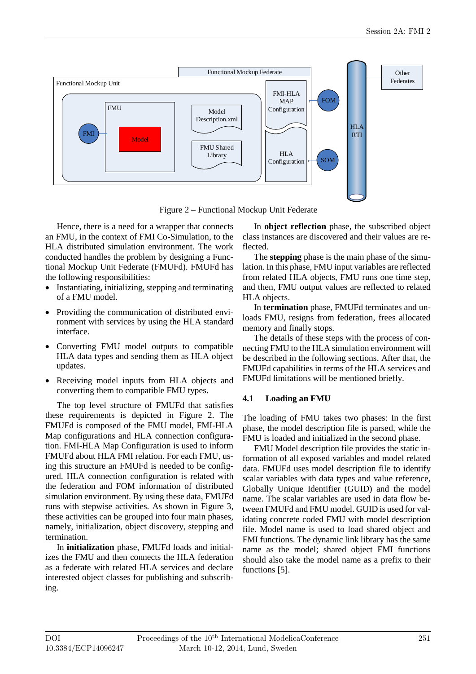

Figure 2 – Functional Mockup Unit Federate

Hence, there is a need for a wrapper that connects an FMU, in the context of FMI Co-Simulation, to the HLA distributed simulation environment. The work conducted handles the problem by designing a Functional Mockup Unit Federate (FMUFd). FMUFd has the following responsibilities:

- Instantiating, initializing, stepping and terminating of a FMU model.
- Providing the communication of distributed environment with services by using the HLA standard interface.
- Converting FMU model outputs to compatible HLA data types and sending them as HLA object updates.
- Receiving model inputs from HLA objects and converting them to compatible FMU types.

The top level structure of FMUFd that satisfies these requirements is depicted in Figure 2. The FMUFd is composed of the FMU model, FMI-HLA Map configurations and HLA connection configuration. FMI-HLA Map Configuration is used to inform FMUFd about HLA FMI relation. For each FMU, using this structure an FMUFd is needed to be configured. HLA connection configuration is related with the federation and FOM information of distributed simulation environment. By using these data, FMUFd runs with stepwise activities. As shown in Figure 3, these activities can be grouped into four main phases, namely, initialization, object discovery, stepping and termination.

In **initialization** phase, FMUFd loads and initializes the FMU and then connects the HLA federation as a federate with related HLA services and declare interested object classes for publishing and subscribing.

In **object reflection** phase, the subscribed object class instances are discovered and their values are reflected.

The **stepping** phase is the main phase of the simulation. In this phase, FMU input variables are reflected from related HLA objects, FMU runs one time step, and then, FMU output values are reflected to related HLA objects.

In **termination** phase, FMUFd terminates and unloads FMU, resigns from federation, frees allocated memory and finally stops.

The details of these steps with the process of connecting FMU to the HLA simulation environment will be described in the following sections. After that, the FMUFd capabilities in terms of the HLA services and FMUFd limitations will be mentioned briefly.

#### **4.1 Loading an FMU**

The loading of FMU takes two phases: In the first phase, the model description file is parsed, while the FMU is loaded and initialized in the second phase.

FMU Model description file provides the static information of all exposed variables and model related data. FMUFd uses model description file to identify scalar variables with data types and value reference, Globally Unique Identifier (GUID) and the model name. The scalar variables are used in data flow between FMUFd and FMU model. GUID is used for validating concrete coded FMU with model description file. Model name is used to load shared object and FMI functions. The dynamic link library has the same name as the model; shared object FMI functions should also take the model name as a prefix to their functions [5].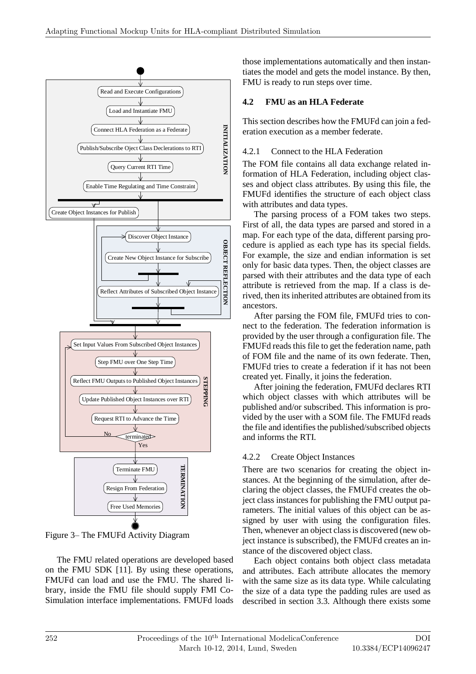

Figure 3– The FMUFd Activity Diagram

The FMU related operations are developed based on the FMU SDK [11]. By using these operations, FMUFd can load and use the FMU. The shared library, inside the FMU file should supply FMI Co-Simulation interface implementations. FMUFd loads

those implementations automatically and then instantiates the model and gets the model instance. By then, FMU is ready to run steps over time.

# **4.2 FMU as an HLA Federate**

This section describes how the FMUFd can join a federation execution as a member federate.

# 4.2.1 Connect to the HLA Federation

The FOM file contains all data exchange related information of HLA Federation, including object classes and object class attributes. By using this file, the FMUFd identifies the structure of each object class with attributes and data types.

The parsing process of a FOM takes two steps. First of all, the data types are parsed and stored in a map. For each type of the data, different parsing procedure is applied as each type has its special fields. For example, the size and endian information is set only for basic data types. Then, the object classes are parsed with their attributes and the data type of each attribute is retrieved from the map. If a class is derived, then its inherited attributes are obtained from its ancestors.

After parsing the FOM file, FMUFd tries to connect to the federation. The federation information is provided by the user through a configuration file. The FMUFd reads this file to get the federation name, path of FOM file and the name of its own federate. Then, FMUFd tries to create a federation if it has not been created yet. Finally, it joins the federation.

After joining the federation, FMUFd declares RTI which object classes with which attributes will be published and/or subscribed. This information is provided by the user with a SOM file. The FMUFd reads the file and identifies the published/subscribed objects and informs the RTI.

# 4.2.2 Create Object Instances

There are two scenarios for creating the object instances. At the beginning of the simulation, after declaring the object classes, the FMUFd creates the object class instances for publishing the FMU output parameters. The initial values of this object can be assigned by user with using the configuration files. Then, whenever an object class is discovered (new object instance is subscribed), the FMUFd creates an instance of the discovered object class.

Each object contains both object class metadata and attributes. Each attribute allocates the memory with the same size as its data type. While calculating the size of a data type the padding rules are used as described in section 3.3. Although there exists some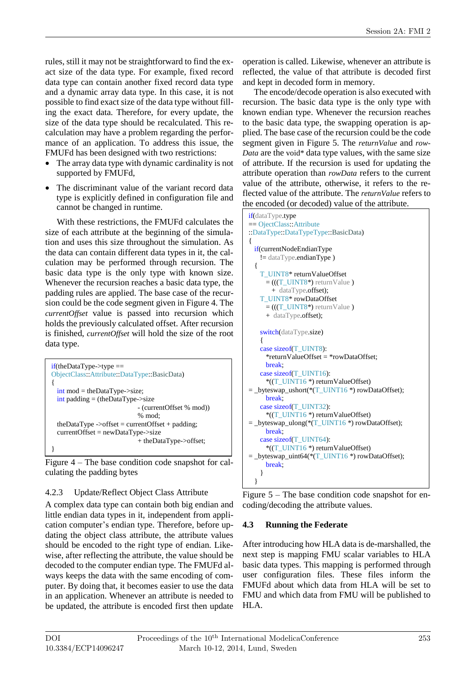rules, still it may not be straightforward to find the exact size of the data type. For example, fixed record data type can contain another fixed record data type and a dynamic array data type. In this case, it is not possible to find exact size of the data type without filling the exact data. Therefore, for every update, the size of the data type should be recalculated. This recalculation may have a problem regarding the performance of an application. To address this issue, the FMUFd has been designed with two restrictions:

- The array data type with dynamic cardinality is not supported by FMUFd,
- The discriminant value of the variant record data type is explicitly defined in configuration file and cannot be changed in runtime.

With these restrictions, the FMUFd calculates the size of each attribute at the beginning of the simulation and uses this size throughout the simulation. As the data can contain different data types in it, the calculation may be performed through recursion. The basic data type is the only type with known size. Whenever the recursion reaches a basic data type, the padding rules are applied. The base case of the recursion could be the code segment given in Figure 4. The *currentOffset* value is passed into recursion which holds the previously calculated offset. After recursion is finished, *currentOffset* will hold the size of the root data type.

| $if$ (theDataType->type ==<br>ObjectClass::Attribute::DataType::BasicData) |
|----------------------------------------------------------------------------|
|                                                                            |
| $\text{int} \text{mod} = \text{theDataType} \rightarrow \text{size};$      |
| $\frac{1}{2}$ int padding = (the Data Type- $>$ size                       |
| - (currentOffset % mod))                                                   |
| $% \text{ mod}:$                                                           |
| theDataType ->offset = currentOffset + padding;                            |
| $currentOffset = newDataType \rightarrow size$                             |
| + theDataType->offset;                                                     |
|                                                                            |

Figure 4 – The base condition code snapshot for calculating the padding bytes

#### 4.2.3 Update/Reflect Object Class Attribute

A complex data type can contain both big endian and little endian data types in it, independent from application computer's endian type. Therefore, before updating the object class attribute, the attribute values should be encoded to the right type of endian. Likewise, after reflecting the attribute, the value should be decoded to the computer endian type. The FMUFd always keeps the data with the same encoding of computer. By doing that, it becomes easier to use the data in an application. Whenever an attribute is needed to be updated, the attribute is encoded first then update

operation is called. Likewise, whenever an attribute is reflected, the value of that attribute is decoded first and kept in decoded form in memory.

The encode/decode operation is also executed with recursion. The basic data type is the only type with known endian type. Whenever the recursion reaches to the basic data type, the swapping operation is applied. The base case of the recursion could be the code segment given in Figure 5. The *returnValue* and *row-Data* are the void\* data type values, with the same size of attribute. If the recursion is used for updating the attribute operation than *rowData* refers to the current value of the attribute, otherwise, it refers to the reflected value of the attribute. The *returnValue* refers to the encoded (or decoded) value of the attribute.



Figure 5 – The base condition code snapshot for encoding/decoding the attribute values.

### **4.3 Running the Federate**

After introducing how HLA data is de-marshalled, the next step is mapping FMU scalar variables to HLA basic data types. This mapping is performed through user configuration files. These files inform the FMUFd about which data from HLA will be set to FMU and which data from FMU will be published to HLA.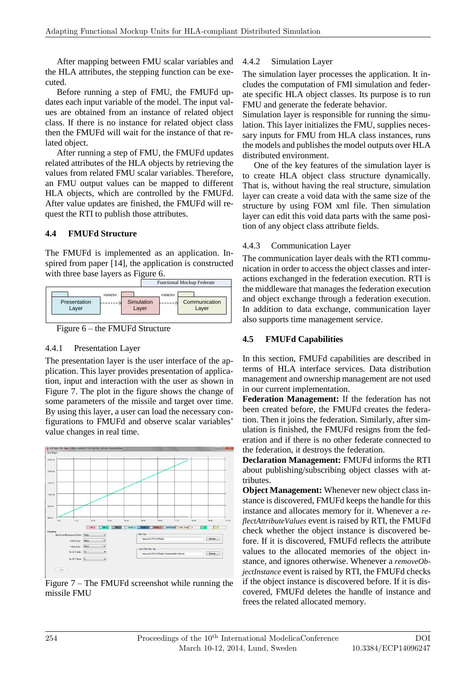After mapping between FMU scalar variables and the HLA attributes, the stepping function can be executed.

Before running a step of FMU, the FMUFd updates each input variable of the model. The input values are obtained from an instance of related object class. If there is no instance for related object class then the FMUFd will wait for the instance of that related object.

After running a step of FMU, the FMUFd updates related attributes of the HLA objects by retrieving the values from related FMU scalar variables. Therefore, an FMU output values can be mapped to different HLA objects, which are controlled by the FMUFd. After value updates are finished, the FMUFd will request the RTI to publish those attributes.

### **4.4 FMUFd Structure**

The FMUFd is implemented as an application. Inspired from paper [14], the application is constructed with three base layers as Figure 6.



Figure 6 – the FMUFd Structure

### 4.4.1 Presentation Layer

The presentation layer is the user interface of the application. This layer provides presentation of application, input and interaction with the user as shown in Figure 7. The plot in the figure shows the change of some parameters of the missile and target over time. By using this layer, a user can load the necessary configurations to FMUFd and observe scalar variables' value changes in real time.



Figure 7 – The FMUFd screenshot while running the missile FMU

## 4.4.2 Simulation Layer

The simulation layer processes the application. It includes the computation of FMI simulation and federate specific HLA object classes. Its purpose is to run FMU and generate the federate behavior.

Simulation layer is responsible for running the simulation. This layer initializes the FMU, supplies necessary inputs for FMU from HLA class instances, runs the models and publishes the model outputs over HLA distributed environment.

One of the key features of the simulation layer is to create HLA object class structure dynamically. That is, without having the real structure, simulation layer can create a void data with the same size of the structure by using FOM xml file. Then simulation layer can edit this void data parts with the same position of any object class attribute fields.

### 4.4.3 Communication Layer

The communication layer deals with the RTI communication in order to access the object classes and interactions exchanged in the federation execution. RTI is the middleware that manages the federation execution and object exchange through a federation execution. In addition to data exchange, communication layer also supports time management service.

### **4.5 FMUFd Capabilities**

In this section, FMUFd capabilities are described in terms of HLA interface services. Data distribution management and ownership management are not used in our current implementation.

**Federation Management:** If the federation has not been created before, the FMUFd creates the federation. Then it joins the federation. Similarly, after simulation is finished, the FMUFd resigns from the federation and if there is no other federate connected to the federation, it destroys the federation.

**Declaration Management:** FMUFd informs the RTI about publishing/subscribing object classes with attributes.

**Object Management:** Whenever new object class instance is discovered, FMUFd keeps the handle for this instance and allocates memory for it. Whenever a *reflectAttributeValues* event is raised by RTI, the FMUFd check whether the object instance is discovered before. If it is discovered, FMUFd reflects the attribute values to the allocated memories of the object instance, and ignores otherwise. Whenever a *removeObjectInstance* event is raised by RTI, the FMUFd checks if the object instance is discovered before. If it is discovered, FMUFd deletes the handle of instance and frees the related allocated memory.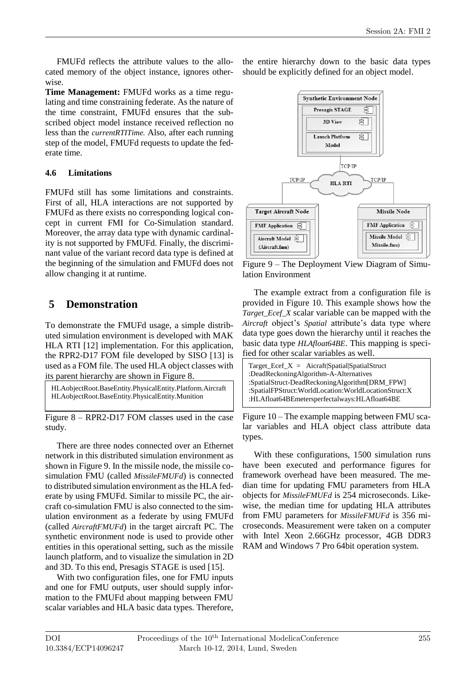FMUFd reflects the attribute values to the allocated memory of the object instance, ignores otherwise.

**Time Management:** FMUFd works as a time regulating and time constraining federate. As the nature of the time constraint, FMUFd ensures that the subscribed object model instance received reflection no less than the *currentRTITime.* Also, after each running step of the model, FMUFd requests to update the federate time.

#### **4.6 Limitations**

FMUFd still has some limitations and constraints. First of all, HLA interactions are not supported by FMUFd as there exists no corresponding logical concept in current FMI for Co-Simulation standard. Moreover, the array data type with dynamic cardinality is not supported by FMUFd. Finally, the discriminant value of the variant record data type is defined at the beginning of the simulation and FMUFd does not allow changing it at runtime.

# **5 Demonstration**

To demonstrate the FMUFd usage, a simple distributed simulation environment is developed with MAK HLA RTI [12] implementation. For this application, the RPR2-D17 FOM file developed by SISO [13] is used as a FOM file. The used HLA object classes with its parent hierarchy are shown in Figure 8.

HLAobjectRoot.BaseEntity.PhysicalEntity.Platform.Aircraft HLAobjectRoot.BaseEntity.PhysicalEntity.Munition

Figure 8 – RPR2-D17 FOM classes used in the case study.

There are three nodes connected over an Ethernet network in this distributed simulation environment as shown in Figure 9. In the missile node, the missile cosimulation FMU (called *MissileFMUFd*) is connected to distributed simulation environment asthe HLA federate by using FMUFd. Similar to missile PC, the aircraft co-simulation FMU is also connected to the simulation environment as a federate by using FMUFd (called *AircraftFMUFd*) in the target aircraft PC. The synthetic environment node is used to provide other entities in this operational setting, such as the missile launch platform, and to visualize the simulation in 2D and 3D. To this end, Presagis STAGE is used [15].

With two configuration files, one for FMU inputs and one for FMU outputs, user should supply information to the FMUFd about mapping between FMU scalar variables and HLA basic data types. Therefore, the entire hierarchy down to the basic data types should be explicitly defined for an object model.



Figure 9 – The Deployment View Diagram of Simulation Environment

The example extract from a configuration file is provided in Figure 10. This example shows how the *Target\_Ecef\_X* scalar variable can be mapped with the *Aircraft* object's *Spatial* attribute's data type where data type goes down the hierarchy until it reaches the basic data type *HLAfloat64BE*. This mapping is specified for other scalar variables as well.

| Target $\text{Ecef}_X = \text{Aicraft}$ Spatial Spatial Struct<br>:DeadReckoningAlgorithm-A-Alternatives<br>:SpatialStruct-DeadReckoningAlgorithm[DRM_FPW]<br>:SpatialFPStruct:WorldLocation:WorldLocationStruct:X |
|--------------------------------------------------------------------------------------------------------------------------------------------------------------------------------------------------------------------|
| :HLAfloat64BEmetersperfectalways:HLAfloat64BE                                                                                                                                                                      |
|                                                                                                                                                                                                                    |

Figure 10 – The example mapping between FMU scalar variables and HLA object class attribute data types.

With these configurations, 1500 simulation runs have been executed and performance figures for framework overhead have been measured. The median time for updating FMU parameters from HLA objects for *MissileFMUFd* is 254 microseconds. Likewise, the median time for updating HLA attributes from FMU parameters for *MissileFMUFd* is 356 microseconds. Measurement were taken on a computer with Intel Xeon 2.66GHz processor, 4GB DDR3 RAM and Windows 7 Pro 64bit operation system.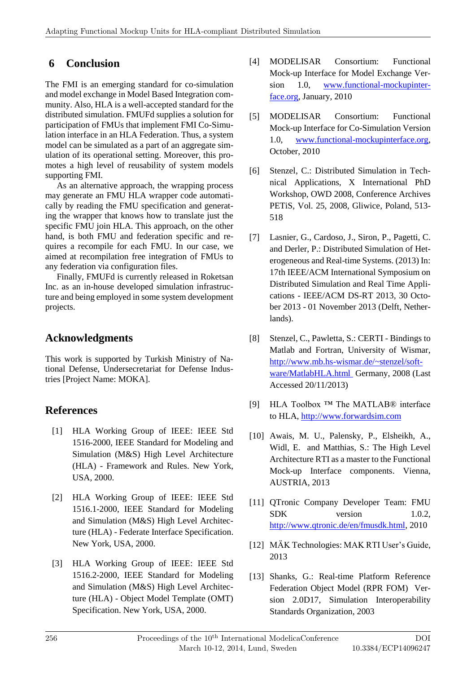# **6 Conclusion**

The FMI is an emerging standard for co-simulation and model exchange in Model Based Integration community. Also, HLA is a well-accepted standard for the distributed simulation. FMUFd supplies a solution for participation of FMUs that implement FMI Co-Simulation interface in an HLA Federation. Thus, a system model can be simulated as a part of an aggregate simulation of its operational setting. Moreover, this promotes a high level of reusability of system models supporting FMI.

As an alternative approach, the wrapping process may generate an FMU HLA wrapper code automatically by reading the FMU specification and generating the wrapper that knows how to translate just the specific FMU join HLA. This approach, on the other hand, is both FMU and federation specific and requires a recompile for each FMU. In our case, we aimed at recompilation free integration of FMUs to any federation via configuration files.

Finally, FMUFd is currently released in Roketsan Inc. as an in-house developed simulation infrastructure and being employed in some system development projects.

# **Acknowledgments**

This work is supported by Turkish Ministry of National Defense, Undersecretariat for Defense Industries [Project Name: MOKA].

# **References**

- [1] HLA Working Group of IEEE: IEEE Std 1516-2000, IEEE Standard for Modeling and Simulation (M&S) High Level Architecture (HLA) - Framework and Rules. New York, USA, 2000.
- [2] HLA Working Group of IEEE: IEEE Std 1516.1-2000, IEEE Standard for Modeling and Simulation (M&S) High Level Architecture (HLA) - Federate Interface Specification. New York, USA, 2000.
- [3] HLA Working Group of IEEE: IEEE Std 1516.2-2000, IEEE Standard for Modeling and Simulation (M&S) High Level Architecture (HLA) - Object Model Template (OMT) Specification. New York, USA, 2000.
- [4] MODELISAR Consortium: Functional Mock-up Interface for Model Exchange Version 1.0, www.functional-mockupinterface.org, January, 2010
- [5] MODELISAR Consortium: Functional Mock-up Interface for Co-Simulation Version 1.0, www.functional-mockupinterface.org, October, 2010
- [6] Stenzel, C.: Distributed Simulation in Technical Applications, X International PhD Workshop, OWD 2008, Conference Archives PETiS, Vol. 25, 2008, Gliwice, Poland, 513- 518
- [7] Lasnier, G., Cardoso, J., Siron, P., Pagetti, C. and Derler, P.: Distributed Simulation of Heterogeneous and Real-time Systems. (2013) In: 17th IEEE/ACM International Symposium on Distributed Simulation and Real Time Applications - IEEE/ACM DS-RT 2013, 30 October 2013 - 01 November 2013 (Delft, Netherlands).
- [8] Stenzel, C., Pawletta, S.: CERTI Bindings to Matlab and Fortran, University of Wismar, http://www.mb.hs-wismar.de/~stenzel/software/MatlabHLA.html Germany, 2008 (Last Accessed 20/11/2013)
- [9] HLA Toolbox ™ The MATLAB® interface to HLA, http://www.forwardsim.com
- [10] Awais, M. U., Palensky, P., Elsheikh, A., Widl, E. and Matthias, S.: The High Level Architecture RTI as a master to the Functional Mock-up Interface components. Vienna, AUSTRIA, 2013
- [11] QTronic Company Developer Team: FMU SDK version 1.0.2, http://www.qtronic.de/en/fmusdk.html, 2010
- [12] MÄK Technologies: MAK RTI User's Guide, 2013
- [13] Shanks, G.: Real-time Platform Reference Federation Object Model (RPR FOM) Version 2.0D17, Simulation Interoperability Standards Organization, 2003